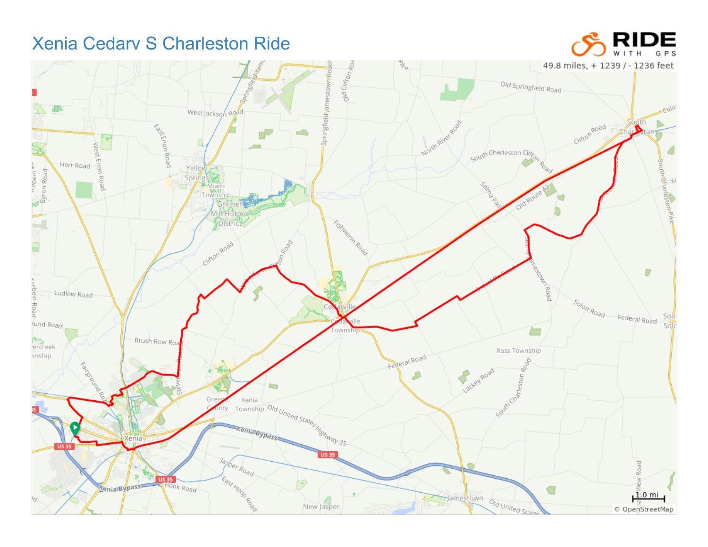## **Xenia Cedary S Charleston Ride**



RIDE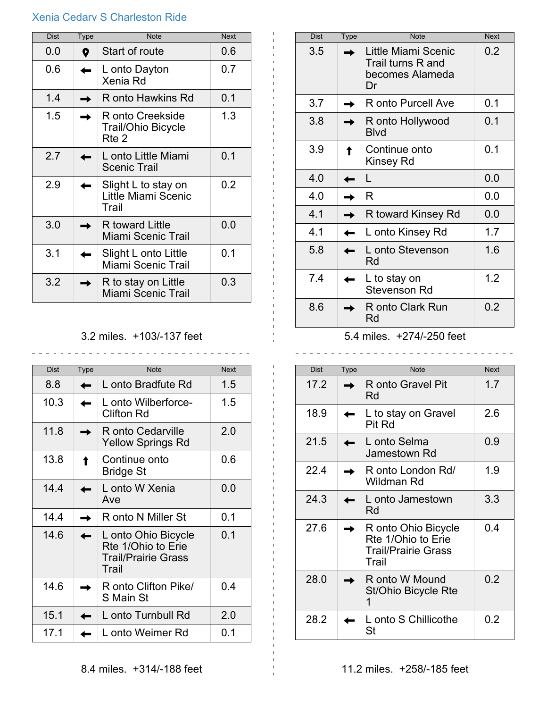## Xenia Cedarv S Charleston Ride

| <b>Dist</b> | <b>Type</b> | <b>Note</b>                                            | <b>Next</b> |
|-------------|-------------|--------------------------------------------------------|-------------|
| 0.0         | Q           | Start of route                                         | 0.6         |
| 0.6         |             | L onto Dayton<br>Xenia Rd                              | 0.7         |
| 1.4         |             | R onto Hawkins Rd                                      | 0.1         |
| 1.5         |             | R onto Creekside<br><b>Trail/Ohio Bicycle</b><br>Rte 2 | 1.3         |
| 2.7         |             | L onto Little Miami<br><b>Scenic Trail</b>             | 0.1         |
| 2.9         |             | Slight L to stay on<br>Little Miami Scenic<br>Trail    | 0.2         |
| 3.0         |             | R toward Little<br>Miami Scenic Trail                  | 0.0         |
| 3.1         |             | Slight L onto Little<br>Miami Scenic Trail             | 0.1         |
| 3.2         |             | R to stay on Little<br>Miami Scenic Trail              | 0.3         |

3.2 miles. +103/-137 feet

\_\_\_\_\_\_\_\_\_\_\_\_\_\_\_\_\_\_\_\_\_\_\_\_\_\_\_\_\_\_\_\_

| <b>Dist</b> | <b>Type</b> | <b>Note</b>                                                                      | <b>Next</b> |
|-------------|-------------|----------------------------------------------------------------------------------|-------------|
| 8.8         |             | L onto Bradfute Rd                                                               | 1.5         |
| 10.3        |             | L onto Wilberforce-<br><b>Clifton Rd</b>                                         | 1.5         |
| 11.8        |             | R onto Cedarville<br><b>Yellow Springs Rd</b>                                    | 2.0         |
| 13.8        |             | Continue onto<br><b>Bridge St</b>                                                | 0.6         |
| 14.4        |             | L onto W Xenia<br>Ave                                                            | 0.0         |
| 14.4        |             | R onto N Miller St                                                               | 0.1         |
| 14.6        |             | L onto Ohio Bicycle<br>Rte 1/Ohio to Erie<br><b>Trail/Prairie Grass</b><br>Trail | 0.1         |
| 14.6        |             | R onto Clifton Pike/<br>S Main St                                                | 0.4         |
| 15.1        |             | L onto Turnbull Rd                                                               | 2.0         |
| 17.1        |             | L onto Weimer Rd                                                                 | 0.1         |

| <b>Dist</b> | <b>Type</b> | <b>Note</b>                                                       | <b>Next</b> |
|-------------|-------------|-------------------------------------------------------------------|-------------|
| 3.5         |             | Little Miami Scenic<br>Trail turns R and<br>becomes Alameda<br>Dr | 0.2         |
| 3.7         |             | R onto Purcell Ave                                                | 0.1         |
| 3.8         |             | R onto Hollywood<br><b>Blvd</b>                                   | 0.1         |
| 3.9         |             | Continue onto<br>Kinsey Rd                                        | 0.1         |
| 4.0         |             | L                                                                 | 0.0         |
| 4.0         |             | R                                                                 | 0.0         |
| 4.1         |             | R toward Kinsey Rd                                                | 0.0         |
| 4.1         |             | L onto Kinsey Rd                                                  | 1.7         |
| 5.8         |             | L onto Stevenson<br>Rd                                            | 1.6         |
| 7.4         |             | L to stay on<br><b>Stevenson Rd</b>                               | 1.2         |
| 8.6         |             | R onto Clark Run<br>Rd                                            | 0.2         |

## 5.4 miles. +274/-250 feet

 $\sim$ 

| <b>Dist</b> | Type | <b>Note</b>                                                                      | <b>Next</b> |
|-------------|------|----------------------------------------------------------------------------------|-------------|
| 17.2        |      | R onto Gravel Pit<br>Rd                                                          | 1.7         |
| 18.9        |      | L to stay on Gravel<br>Pit Rd                                                    | 2.6         |
| 21.5        |      | L onto Selma<br>Jamestown Rd                                                     | 0.9         |
| 22.4        |      | R onto London Rd/<br>Wildman Rd                                                  | 1.9         |
| 24.3        |      | L onto Jamestown<br>Rd                                                           | 3.3         |
| 27.6        |      | R onto Ohio Bicycle<br>Rte 1/Ohio to Erie<br><b>Trail/Prairie Grass</b><br>Trail | 0.4         |
| 28.0        |      | R onto W Mound<br>St/Ohio Bicycle Rte<br>1                                       | 0.2         |
| 28.2        |      | L onto S Chillicothe<br>St                                                       | 0.2         |